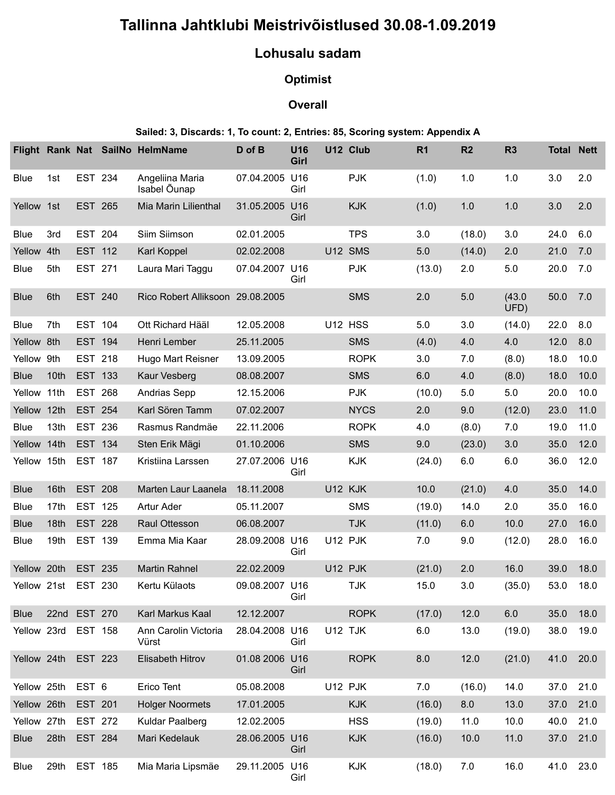# Tallinna Jahtklubi Meistrivõistlused 30.08-1.09.2019

## Lohusalu sadam

## **Optimist**

#### **Overall**

#### Sailed: 3, Discards: 1, To count: 2, Entries: 85, Scoring system: Appendix A

|             |                     |      |                | Tallinna Jahtklubi Meistrivõistlused 30.08-1.09.2019                         |                |                 |          |             |                |         |                |                   |      |
|-------------|---------------------|------|----------------|------------------------------------------------------------------------------|----------------|-----------------|----------|-------------|----------------|---------|----------------|-------------------|------|
|             |                     |      |                |                                                                              |                | Lohusalu sadam  |          |             |                |         |                |                   |      |
|             |                     |      |                |                                                                              |                | <b>Optimist</b> |          |             |                |         |                |                   |      |
|             |                     |      |                |                                                                              |                | <b>Overall</b>  |          |             |                |         |                |                   |      |
|             |                     |      |                | Sailed: 3, Discards: 1, To count: 2, Entries: 85, Scoring system: Appendix A |                |                 |          |             |                |         |                |                   |      |
|             |                     |      |                | Flight Rank Nat SailNo HelmName                                              | D of B         | U16             | U12 Club |             | R <sub>1</sub> | R2      | R <sub>3</sub> | <b>Total Nett</b> |      |
|             |                     |      |                |                                                                              |                | Girl            |          |             |                |         |                |                   |      |
| Blue        |                     | 1st  | EST 234        | Angeliina Maria<br>Isabel Õunap                                              | 07.04.2005 U16 | Girl            |          | <b>PJK</b>  | (1.0)          | 1.0     | 1.0            | 3.0               | 2.0  |
|             | Yellow<br>1st       |      | EST 265        | Mia Marin Lilienthal                                                         | 31.05.2005 U16 | Girl            |          | <b>KJK</b>  | (1.0)          | 1.0     | 1.0            | 3.0               | 2.0  |
| Blue        |                     | 3rd  | EST 204        | Siim Siimson                                                                 | 02.01.2005     |                 |          | <b>TPS</b>  | 3.0            | (18.0)  | 3.0            | 24.0              | 6.0  |
|             | Yellow 4th          |      | EST 112        | Karl Koppel                                                                  | 02.02.2008     |                 | U12 SMS  |             | 5.0            | (14.0)  | 2.0            | 21.0              | 7.0  |
| Blue        |                     | 5th  | EST 271        | Laura Mari Taggu                                                             | 07.04.2007 U16 | Girl            |          | <b>PJK</b>  | (13.0)         | 2.0     | 5.0            | 20.0 7.0          |      |
| <b>Blue</b> |                     | 6th  | EST 240        | Rico Robert Alliksoon 29.08.2005                                             |                |                 |          | <b>SMS</b>  | 2.0            | $5.0\,$ | (43.0)<br>UFD) | 50.0              | 7.0  |
| Blue        |                     | 7th  | <b>EST 104</b> | Ott Richard Hääl                                                             | 12.05.2008     |                 | U12 HSS  |             | 5.0            | 3.0     | (14.0)         | 22.0              | 8.0  |
|             | Yellow 8th          |      | EST 194        | Henri Lember                                                                 | 25.11.2005     |                 |          | <b>SMS</b>  | (4.0)          | 4.0     | 4.0            | 12.0              | 8.0  |
|             | Yellow 9th          |      | EST 218        | Hugo Mart Reisner                                                            | 13.09.2005     |                 |          | <b>ROPK</b> | 3.0            | 7.0     | (8.0)          | 18.0              | 10.0 |
| <b>Blue</b> |                     | 10th | <b>EST 133</b> | Kaur Vesberg                                                                 | 08.08.2007     |                 |          | <b>SMS</b>  | $6.0\,$        | 4.0     | (8.0)          | 18.0              | 10.0 |
|             | Yellow 11th EST 268 |      |                | <b>Andrias Sepp</b>                                                          | 12.15.2006     |                 |          | <b>PJK</b>  | (10.0)         | 5.0     | 5.0            | 20.0              | 10.0 |
|             | Yellow              |      | 12th EST 254   | Karl Sören Tamm                                                              | 07.02.2007     |                 |          | <b>NYCS</b> | 2.0            | 9.0     | (12.0)         | 23.0              | 11.0 |
| Blue        |                     |      | 13th EST 236   | Rasmus Randmäe                                                               | 22.11.2006     |                 |          | <b>ROPK</b> | 4.0            | (8.0)   | 7.0            | 19.0              | 11.0 |
|             | Yellow 14th EST 134 |      |                | Sten Erik Mägi                                                               | 01.10.2006     |                 |          | <b>SMS</b>  | 9.0            | (23.0)  | 3.0            | 35.0              | 12.0 |
|             | Yellow 15th EST 187 |      |                | Kristiina Larssen                                                            | 27.07.2006 U16 | Girl            |          | KJK         | (24.0)         | 6.0     | $6.0\,$        | 36.0              | 12.0 |
| <b>Blue</b> |                     | 16th | <b>EST 208</b> | Marten Laur Laanela                                                          | 18.11.2008     |                 | U12 KJK  |             | 10.0           | (21.0)  | 4.0            | 35.0              | 14.0 |
| Blue        |                     |      | 17th EST 125   | Artur Ader                                                                   | 05.11.2007     |                 |          | SMS         | (19.0)         | 14.0    | 2.0            | 35.0              | 16.0 |
| <b>Blue</b> |                     |      | 18th EST 228   | Raul Ottesson                                                                | 06.08.2007     |                 |          | <b>TJK</b>  | (11.0)         | 6.0     | 10.0           | 27.0              | 16.0 |
| Blue        |                     |      | 19th EST 139   | Emma Mia Kaar                                                                | 28.09.2008 U16 | Girl            | U12 PJK  |             | 7.0            | 9.0     | (12.0)         | 28.0              | 16.0 |
|             | Yellow 20th EST 235 |      |                | <b>Martin Rahnel</b>                                                         | 22.02.2009     |                 | U12 PJK  |             | (21.0)         | 2.0     | 16.0           | 39.0              | 18.0 |
|             | Yellow 21st EST 230 |      |                | Kertu Külaots                                                                | 09.08.2007 U16 | Girl            |          | <b>TJK</b>  | 15.0           | 3.0     | (35.0)         | 53.0              | 18.0 |
| <b>Blue</b> |                     |      | 22nd EST 270   | Karl Markus Kaal                                                             | 12.12.2007     |                 |          | <b>ROPK</b> | (17.0)         | 12.0    | 6.0            | 35.0              | 18.0 |
|             | Yellow 23rd EST 158 |      |                | Ann Carolin Victoria<br>Vürst                                                | 28.04.2008 U16 | Girl            | U12 TJK  |             | 6.0            | 13.0    | (19.0)         | 38.0              | 19.0 |
|             | Yellow 24th EST 223 |      |                | Elisabeth Hitrov                                                             | 01.08 2006 U16 | Girl            |          | <b>ROPK</b> | 8.0            | 12.0    | (21.0)         | 41.0              | 20.0 |
|             | Yellow 25th EST 6   |      |                | Erico Tent                                                                   | 05.08.2008     |                 | U12 PJK  |             | 7.0            | (16.0)  | 14.0           | 37.0              | 21.0 |
|             | Yellow 26th         |      | <b>EST 201</b> | <b>Holger Noormets</b>                                                       | 17.01.2005     |                 |          | <b>KJK</b>  | (16.0)         | 8.0     | 13.0           | 37.0              | 21.0 |
|             | Yellow 27th EST 272 |      |                | Kuldar Paalberg                                                              | 12.02.2005     |                 |          | <b>HSS</b>  | (19.0)         | 11.0    | 10.0           | 40.0              | 21.0 |
| Blue        |                     |      | 28th EST 284   | Mari Kedelauk                                                                | 28.06.2005 U16 | Girl            |          | KJK         | (16.0)         | 10.0    | 11.0           | 37.0 21.0         |      |
| Blue        |                     |      | 29th EST 185   | Mia Maria Lipsmäe                                                            | 29.11.2005 U16 | Girl            |          | KJK         | (18.0)         | 7.0     | 16.0           | 41.0              | 23.0 |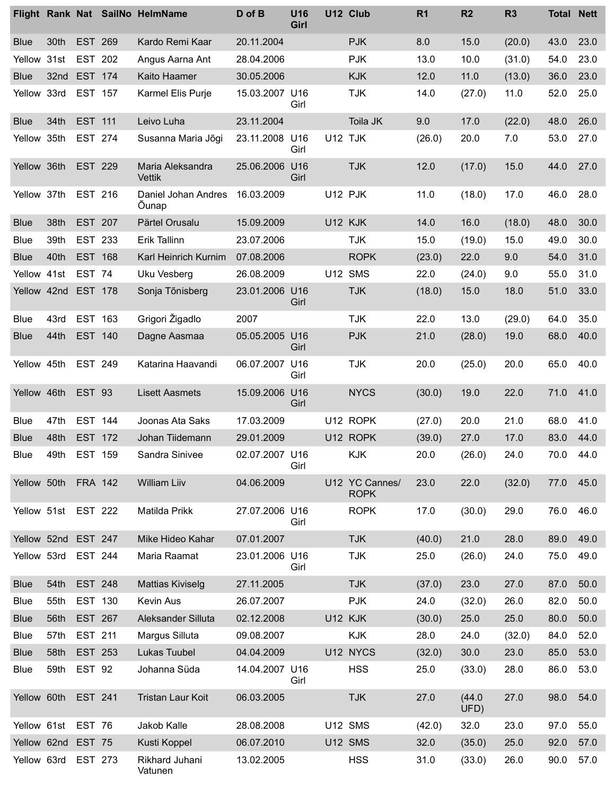|                            |                                            |                           | Flight Rank Nat SailNo HelmName   | D of B                       | U16<br>Girl | U12 Club                      | R <sub>1</sub> | R2             | R <sub>3</sub> |              | <b>Total Nett</b> |
|----------------------------|--------------------------------------------|---------------------------|-----------------------------------|------------------------------|-------------|-------------------------------|----------------|----------------|----------------|--------------|-------------------|
| <b>Blue</b>                | 30th                                       | EST 269                   | Kardo Remi Kaar                   | 20.11.2004                   |             | <b>PJK</b>                    | 8.0            | 15.0           | (20.0)         | 43.0         | 23.0              |
| Yellow                     | 31st                                       | <b>EST 202</b>            | Angus Aarna Ant                   | 28.04.2006                   |             | <b>PJK</b>                    | 13.0           | 10.0           | (31.0)         | 54.0         | 23.0              |
| <b>Blue</b><br>Yellow 33rd | 32 <sub>nd</sub>                           | <b>EST 174</b><br>EST 157 | Kaito Haamer<br>Karmel Elis Purje | 30.05.2006<br>15.03.2007 U16 | Girl        | <b>KJK</b><br><b>TJK</b>      | 12.0<br>14.0   | 11.0<br>(27.0) | (13.0)<br>11.0 | 36.0<br>52.0 | 23.0<br>25.0      |
| <b>Blue</b>                | 34th                                       | EST 111                   | Leivo Luha                        | 23.11.2004                   |             | Toila JK                      | 9.0            | 17.0           | (22.0)         | 48.0         | 26.0              |
|                            | Yellow 35th                                | EST 274                   | Susanna Maria Jõgi                | 23.11.2008 U16               | Girl        | U12 TJK                       | (26.0)         | 20.0           | 7.0            | 53.0         | 27.0              |
| Yellow 36th                |                                            | <b>EST 229</b>            | Maria Aleksandra<br>Vettik        | 25.06.2006 U16               | Girl        | <b>TJK</b>                    | 12.0           | (17.0)         | 15.0           | 44.0         | 27.0              |
| Yellow 37th                |                                            | EST 216                   | Daniel Johan Andres<br>Õunap      | 16.03.2009                   |             | U12 PJK                       | 11.0           | (18.0)         | 17.0           | 46.0         | 28.0              |
| <b>Blue</b>                | 38th                                       | <b>EST 207</b>            | Pärtel Orusalu                    | 15.09.2009                   |             | U12 KJK                       | 14.0           | 16.0           | (18.0)         | 48.0         | 30.0              |
| Blue                       | 39th                                       | EST 233                   | Erik Tallinn                      | 23.07.2006                   |             | <b>TJK</b>                    | 15.0           | (19.0)         | 15.0           | 49.0         | 30.0              |
| <b>Blue</b>                | 40th                                       | <b>EST 168</b>            | Karl Heinrich Kurnim              | 07.08.2006                   |             | <b>ROPK</b>                   | (23.0)         | 22.0           | 9.0            | 54.0         | 31.0              |
| Yellow 41st<br>Yellow      | 42nd EST 178                               | EST 74                    | Uku Vesberg<br>Sonja Tõnisberg    | 26.08.2009<br>23.01.2006 U16 | Girl        | U12 SMS<br><b>TJK</b>         | 22.0<br>(18.0) | (24.0)<br>15.0 | 9.0<br>18.0    | 55.0<br>51.0 | 31.0<br>33.0      |
| Blue                       | 43rd                                       | EST 163                   | Grigori Žigadlo                   | 2007                         |             | <b>TJK</b>                    | 22.0           | 13.0           | (29.0)         | 64.0         | 35.0              |
| <b>Blue</b>                | 44th                                       | EST 140                   | Dagne Aasmaa                      | 05.05.2005 U16               | Girl        | <b>PJK</b>                    | 21.0           | (28.0)         | 19.0           | 68.0         | 40.0              |
| Yellow 45th                |                                            | EST 249                   | Katarina Haavandi                 | 06.07.2007 U16               | Girl        | <b>TJK</b>                    | 20.0           | (25.0)         | 20.0           | 65.0         | 40.0              |
|                            | Yellow 46th                                | <b>EST 93</b>             | <b>Lisett Aasmets</b>             | 15.09.2006 U16               | Girl        | <b>NYCS</b>                   | (30.0)         | 19.0           | 22.0           | 71.0         | 41.0              |
| Blue                       | 47th                                       | EST 144                   | Joonas Ata Saks                   | 17.03.2009                   |             | U12 ROPK                      | (27.0)         | 20.0           | 21.0           | 68.0         | 41.0              |
| <b>Blue</b><br><b>Blue</b> | 48th<br>49th                               | EST 172<br>EST 159        | Johan Tiidemann<br>Sandra Sinivee | 29.01.2009<br>02.07.2007 U16 |             | U12 ROPK<br>KJK               | (39.0)<br>20.0 | 27.0<br>(26.0) | 17.0<br>24.0   | 83.0<br>70.0 | 44.0<br>44.0      |
|                            |                                            |                           |                                   |                              | Girl        |                               |                |                |                |              |                   |
|                            | Yellow 50th FRA 142<br>Yellow 51st EST 222 |                           | William Liiv                      | 04.06.2009                   |             | U12 YC Cannes/<br><b>ROPK</b> | 23.0           | 22.0           | (32.0)         | 77.0<br>76.0 | 45.0              |
|                            |                                            |                           | Matilda Prikk                     | 27.07.2006 U16               | Girl        | <b>ROPK</b>                   | 17.0           | (30.0)         | 29.0           |              | 46.0              |
| Yellow<br>Yellow 53rd      | 52nd EST 247                               | EST 244                   | Mike Hideo Kahar<br>Maria Raamat  | 07.01.2007                   |             | <b>TJK</b><br><b>TJK</b>      | (40.0)         | 21.0           | 28.0           | 89.0<br>75.0 | 49.0<br>49.0      |
|                            | 54th                                       | <b>EST 248</b>            | <b>Mattias Kiviselg</b>           | 23.01.2006 U16<br>27.11.2005 | Girl        | <b>TJK</b>                    | 25.0           | (26.0)<br>23.0 | 24.0<br>27.0   | 87.0         | 50.0              |
| <b>Blue</b><br>Blue        | 55th                                       | EST 130                   | Kevin Aus                         | 26.07.2007                   |             | <b>PJK</b>                    | (37.0)<br>24.0 | (32.0)         | 26.0           | 82.0         | 50.0              |
| <b>Blue</b>                | 56th                                       | <b>EST 267</b>            | Aleksander Silluta                | 02.12.2008                   |             | U12 KJK                       | (30.0)         | 25.0           | 25.0           | 80.0         | 50.0              |
| <b>Blue</b>                | 57th                                       | EST 211                   | Margus Silluta                    | 09.08.2007                   |             | <b>KJK</b>                    | 28.0           | 24.0           | (32.0)         | 84.0         | 52.0              |
| <b>Blue</b>                | 58th EST 253                               |                           | Lukas Tuubel                      | 04.04.2009                   |             | U12 NYCS                      | (32.0)         | 30.0           | 23.0           | 85.0         | 53.0              |
| Blue                       | 59th EST 92                                |                           | Johanna Süda                      | 14.04.2007 U16               | Girl        | <b>HSS</b>                    | 25.0           | (33.0)         | 28.0           | 86.0 53.0    |                   |
|                            | Yellow 60th EST 241                        |                           | Tristan Laur Koit                 | 06.03.2005                   |             | <b>TJK</b>                    | 27.0           | (44.0)<br>UFD) | 27.0           | 98.0         | 54.0              |
|                            | Yellow 61st EST 76                         |                           | Jakob Kalle                       | 28.08.2008                   |             | U12 SMS                       | (42.0)         | 32.0           | 23.0           | 97.0 55.0    |                   |
|                            | Yellow 62nd EST 75                         |                           | Kusti Koppel                      | 06.07.2010                   |             | U12 SMS                       | 32.0           | (35.0)         | 25.0           | 92.0         | 57.0              |
|                            | Yellow 63rd EST 273                        |                           | Rikhard Juhani<br>Vatunen         | 13.02.2005                   |             | <b>HSS</b>                    | 31.0           | (33.0)         | 26.0           | 90.0 57.0    |                   |